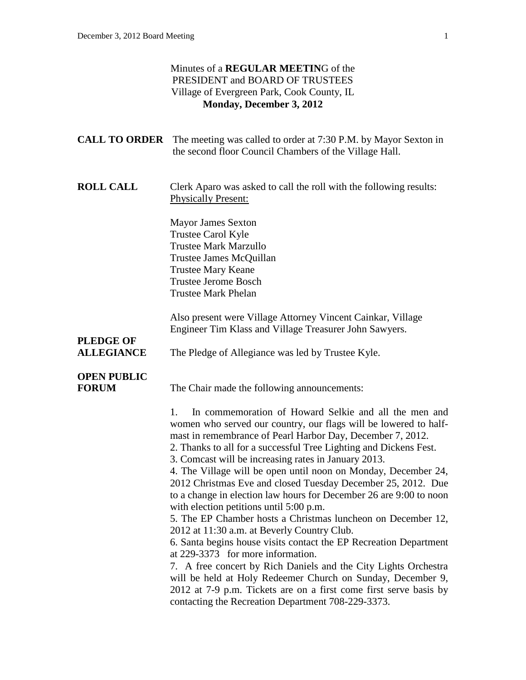#### Minutes of a **REGULAR MEETIN**G of the PRESIDENT and BOARD OF TRUSTEES Village of Evergreen Park, Cook County, IL **Monday, December 3, 2012**

|                                    | <b>CALL TO ORDER</b> The meeting was called to order at 7:30 P.M. by Mayor Sexton in<br>the second floor Council Chambers of the Village Hall.                                                                                                                                                                                                                                                                                                                                                                                                                                                                                                                                                                                                                                                                                                                                                                                                                                                                                                                      |
|------------------------------------|---------------------------------------------------------------------------------------------------------------------------------------------------------------------------------------------------------------------------------------------------------------------------------------------------------------------------------------------------------------------------------------------------------------------------------------------------------------------------------------------------------------------------------------------------------------------------------------------------------------------------------------------------------------------------------------------------------------------------------------------------------------------------------------------------------------------------------------------------------------------------------------------------------------------------------------------------------------------------------------------------------------------------------------------------------------------|
| <b>ROLL CALL</b>                   | Clerk Aparo was asked to call the roll with the following results:<br><b>Physically Present:</b>                                                                                                                                                                                                                                                                                                                                                                                                                                                                                                                                                                                                                                                                                                                                                                                                                                                                                                                                                                    |
|                                    | <b>Mayor James Sexton</b><br><b>Trustee Carol Kyle</b><br><b>Trustee Mark Marzullo</b><br>Trustee James McQuillan<br><b>Trustee Mary Keane</b><br><b>Trustee Jerome Bosch</b><br><b>Trustee Mark Phelan</b>                                                                                                                                                                                                                                                                                                                                                                                                                                                                                                                                                                                                                                                                                                                                                                                                                                                         |
| <b>PLEDGE OF</b>                   | Also present were Village Attorney Vincent Cainkar, Village<br>Engineer Tim Klass and Village Treasurer John Sawyers.                                                                                                                                                                                                                                                                                                                                                                                                                                                                                                                                                                                                                                                                                                                                                                                                                                                                                                                                               |
| <b>ALLEGIANCE</b>                  | The Pledge of Allegiance was led by Trustee Kyle.                                                                                                                                                                                                                                                                                                                                                                                                                                                                                                                                                                                                                                                                                                                                                                                                                                                                                                                                                                                                                   |
| <b>OPEN PUBLIC</b><br><b>FORUM</b> | The Chair made the following announcements:                                                                                                                                                                                                                                                                                                                                                                                                                                                                                                                                                                                                                                                                                                                                                                                                                                                                                                                                                                                                                         |
|                                    | In commemoration of Howard Selkie and all the men and<br>1.<br>women who served our country, our flags will be lowered to half-<br>mast in remembrance of Pearl Harbor Day, December 7, 2012.<br>2. Thanks to all for a successful Tree Lighting and Dickens Fest.<br>3. Comcast will be increasing rates in January 2013.<br>4. The Village will be open until noon on Monday, December 24,<br>2012 Christmas Eve and closed Tuesday December 25, 2012. Due<br>to a change in election law hours for December 26 are 9:00 to noon<br>with election petitions until 5:00 p.m.<br>5. The EP Chamber hosts a Christmas luncheon on December 12,<br>2012 at 11:30 a.m. at Beverly Country Club.<br>6. Santa begins house visits contact the EP Recreation Department<br>at 229-3373 for more information.<br>7. A free concert by Rich Daniels and the City Lights Orchestra<br>will be held at Holy Redeemer Church on Sunday, December 9,<br>2012 at 7-9 p.m. Tickets are on a first come first serve basis by<br>contacting the Recreation Department 708-229-3373. |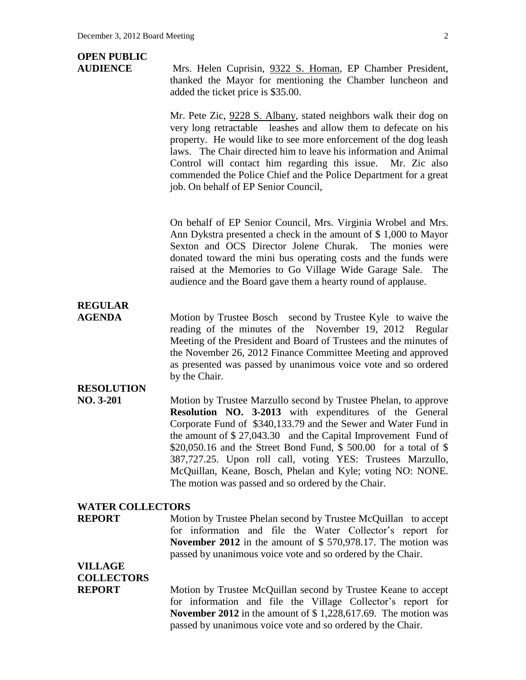# **OPEN PUBLIC**

**AUDIENCE** Mrs. Helen Cuprisin, 9322 S. Homan, EP Chamber President, thanked the Mayor for mentioning the Chamber luncheon and added the ticket price is \$35.00.

> Mr. Pete Zic, 9228 S. Albany, stated neighbors walk their dog on very long retractable leashes and allow them to defecate on his property. He would like to see more enforcement of the dog leash laws. The Chair directed him to leave his information and Animal Control will contact him regarding this issue. Mr. Zic also commended the Police Chief and the Police Department for a great job. On behalf of EP Senior Council,

> On behalf of EP Senior Council, Mrs. Virginia Wrobel and Mrs. Ann Dykstra presented a check in the amount of \$ 1,000 to Mayor Sexton and OCS Director Jolene Churak. The monies were donated toward the mini bus operating costs and the funds were raised at the Memories to Go Village Wide Garage Sale. The audience and the Board gave them a hearty round of applause.

### **REGULAR**

**AGENDA** Motion by Trustee Bosch second by Trustee Kyle to waive the reading of the minutes of the November 19, 2012 Regular Meeting of the President and Board of Trustees and the minutes of the November 26, 2012 Finance Committee Meeting and approved as presented was passed by unanimous voice vote and so ordered by the Chair.

### **RESOLUTION**

**NO. 3-201** Motion by Trustee Marzullo second by Trustee Phelan, to approve **Resolution NO. 3-2013** with expenditures of the General Corporate Fund of \$340,133.79 and the Sewer and Water Fund in the amount of \$ 27,043.30 and the Capital Improvement Fund of \$20,050.16 and the Street Bond Fund, \$ 500.00 for a total of \$ 387,727.25. Upon roll call, voting YES: Trustees Marzullo, McQuillan, Keane, Bosch, Phelan and Kyle; voting NO: NONE. The motion was passed and so ordered by the Chair.

#### **WATER COLLECTORS**

**REPORT** Motion by Trustee Phelan second by Trustee McQuillan to accept for information and file the Water Collector's report for **November 2012** in the amount of \$ 570,978.17. The motion was passed by unanimous voice vote and so ordered by the Chair.

# **VILLAGE COLLECTORS**

**REPORT** Motion by Trustee McQuillan second by Trustee Keane to accept for information and file the Village Collector's report for **November 2012** in the amount of \$ 1,228,617.69. The motion was passed by unanimous voice vote and so ordered by the Chair.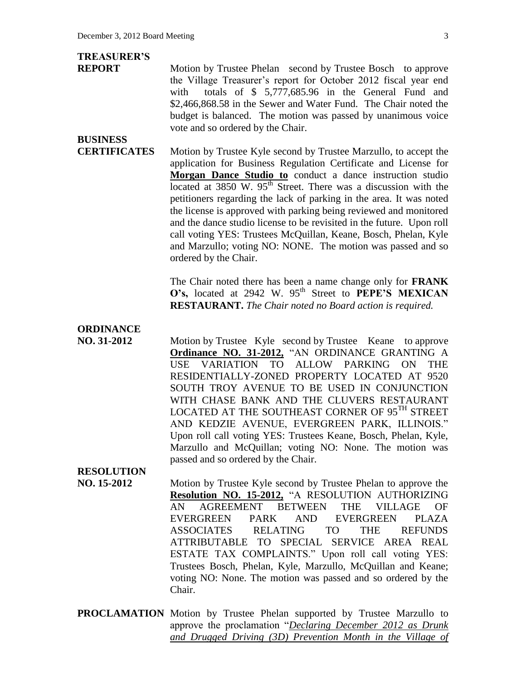# **TREASURER'S**

**REPORT** Motion by Trustee Phelan second by Trustee Bosch to approve the Village Treasurer's report for October 2012 fiscal year end with totals of \$ 5,777,685.96 in the General Fund and \$2,466,868.58 in the Sewer and Water Fund. The Chair noted the budget is balanced. The motion was passed by unanimous voice vote and so ordered by the Chair.

# **BUSINESS**

**CERTIFICATES** Motion by Trustee Kyle second by Trustee Marzullo, to accept the application for Business Regulation Certificate and License for **Morgan Dance Studio to** conduct a dance instruction studio located at 3850 W. 95<sup>th</sup> Street. There was a discussion with the petitioners regarding the lack of parking in the area. It was noted the license is approved with parking being reviewed and monitored and the dance studio license to be revisited in the future. Upon roll call voting YES: Trustees McQuillan, Keane, Bosch, Phelan, Kyle and Marzullo; voting NO: NONE. The motion was passed and so ordered by the Chair.

> The Chair noted there has been a name change only for **FRANK**  O's, located at 2942 W. 95<sup>th</sup> Street to **PEPE'S MEXICAN RESTAURANT.** *The Chair noted no Board action is required.*

### **ORDINANCE**

**NO. 31-2012** Motion by Trustee Kyle second by Trustee Keane to approve **Ordinance NO. 31-2012,** "AN ORDINANCE GRANTING A USE VARIATION TO ALLOW PARKING ON THE RESIDENTIALLY-ZONED PROPERTY LOCATED AT 9520 SOUTH TROY AVENUE TO BE USED IN CONJUNCTION WITH CHASE BANK AND THE CLUVERS RESTAURANT LOCATED AT THE SOUTHEAST CORNER OF  $95^{TH}$  STREET AND KEDZIE AVENUE, EVERGREEN PARK, ILLINOIS." Upon roll call voting YES: Trustees Keane, Bosch, Phelan, Kyle, Marzullo and McQuillan; voting NO: None. The motion was passed and so ordered by the Chair.

### **RESOLUTION**

- **NO. 15-2012** Motion by Trustee Kyle second by Trustee Phelan to approve the **Resolution NO. 15-2012,** "A RESOLUTION AUTHORIZING AN AGREEMENT BETWEEN THE VILLAGE OF EVERGREEN PARK AND EVERGREEN PLAZA ASSOCIATES RELATING TO THE REFUNDS ATTRIBUTABLE TO SPECIAL SERVICE AREA REAL ESTATE TAX COMPLAINTS." Upon roll call voting YES: Trustees Bosch, Phelan, Kyle, Marzullo, McQuillan and Keane; voting NO: None. The motion was passed and so ordered by the Chair.
- **PROCLAMATION** Motion by Trustee Phelan supported by Trustee Marzullo to approve the proclamation "*Declaring December 2012 as Drunk and Drugged Driving (3D) Prevention Month in the Village of*